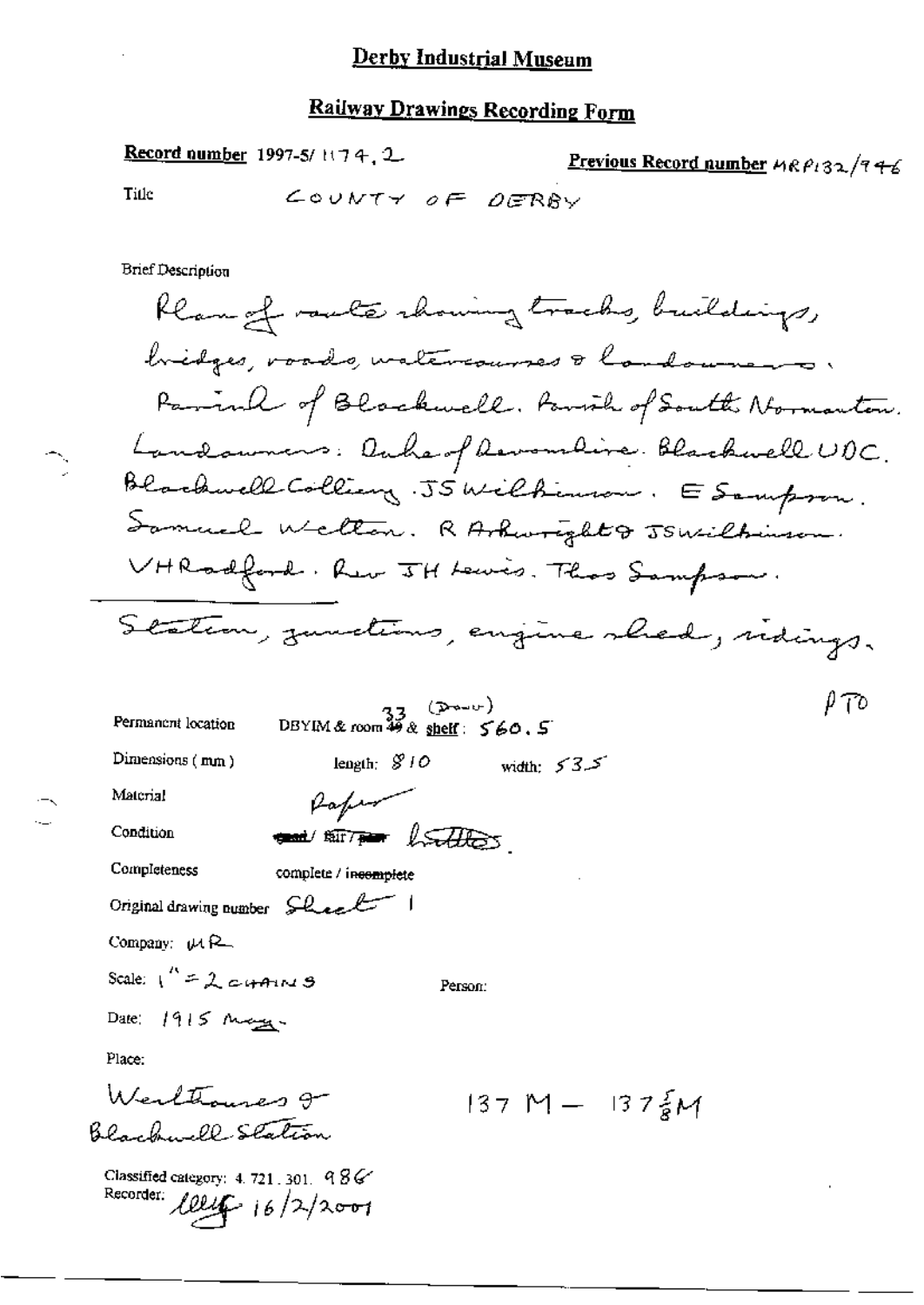#### **Railway Drawings Recording Form**

Previous Record number  $4R\beta_1$ 32/746

Record number 1997-5/1174, 2

COUNTY OF DERBY Title **Brief Description** Rlangf route rhowing tracks, buildings, bidges, voads, watercourses & landowners. Parink of Blackwell. Parish of South Normanton. Landowners: Onhe of Revendine Blackwell UDC. Blackwell-Colling. JSWilkinson. ESampson. Samuel Welter. RAshwright & JSWilbinson. VHRodford. Rev JH Lewis. Thas Sampson. Station, zumetions, engine shed, sidings.  $\rho$   $\tau$ o  $\frac{33}{25}$  ( $\frac{5440}{20}$ )<br>DBYIM&room 49 & shelf:  $560.5$ Permanent location Dimensions  $(mn)$ length;  $$10$ width:  $53.5$ Rafin Material and surround for the same Condition Completeness complete / incomplete Original drawing number Sheel Company:  $\mu$  R\_ Scale:  $1'' = 2$  cyping Person: Date:  $1915$  May Place: Werlthouses gr  $137 M - 137 \frac{2}{9} M$ Black - ll-Station

Classified category: 4, 721, 301,  $98\%$ Recorder:  $Ullg 16/2/2001$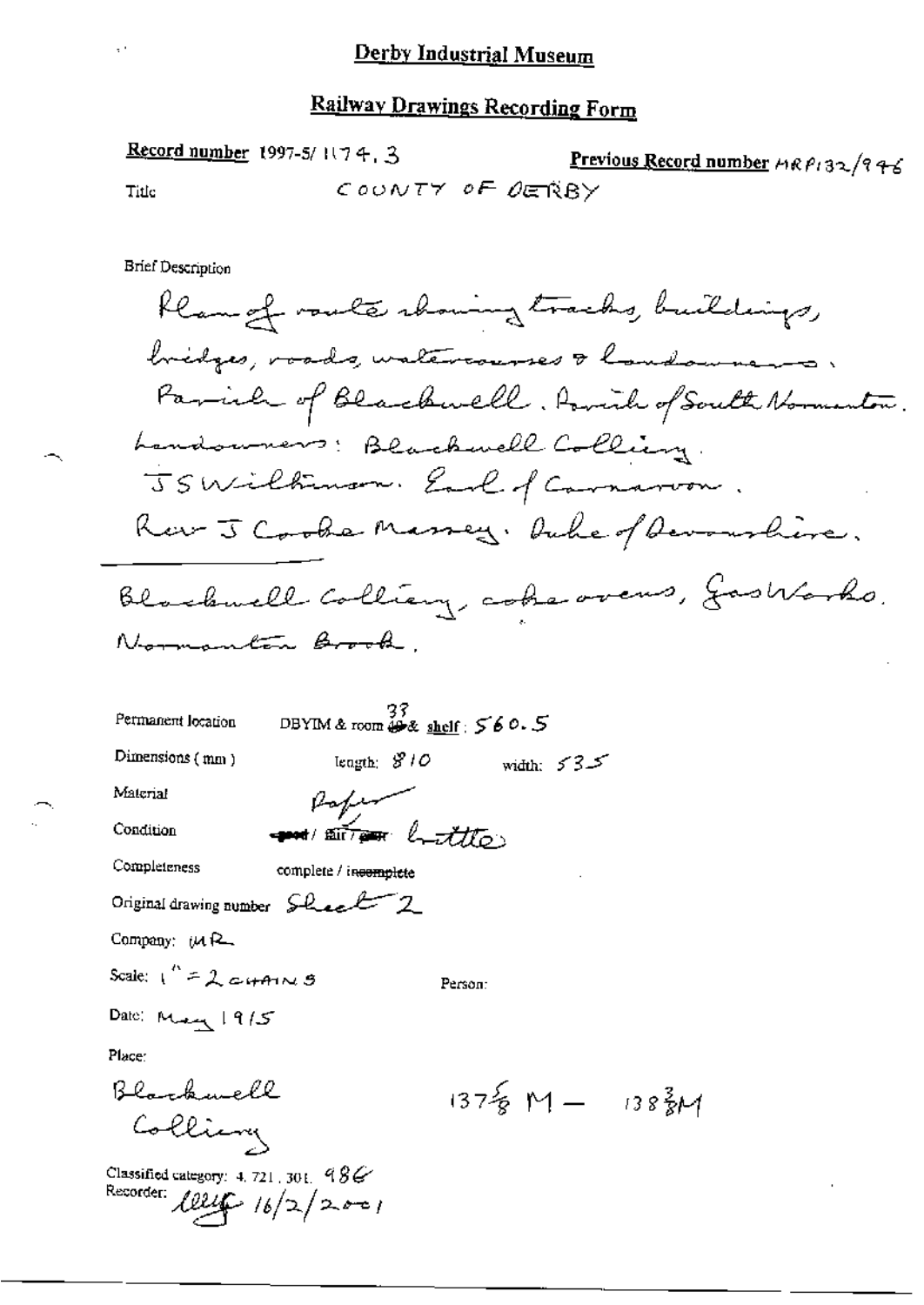## **Railway Drawings Recording Form**

Record number 1997-5/1174, 3 Previous Record number HRP132/946 COUNTY OF DERBY Title

**Brief Description** 

 $\bar{\psi}$ 

93<br>DBYIM & room  $\frac{33}{48}$  shelf:  $560.5$ Permanent location width:  $535$ Dimensions (mm) length:  $810$ Paper

Material

Condition

Completeness

complete / incomplete

 $\frac{1}{\sin \theta}$  but

Original drawing number Sheel 2

Company: (MR

Scale:  $1^{k} = 2c$  + A  $N$  3

Person:

Date: May 1915

Place:

Blackwell  $137\frac{2}{8}M - 138\frac{3}{8}M$ Colling

Classified category: 4, 721, 301,  $986$ Recorder:  $Ullif 16/2/2001$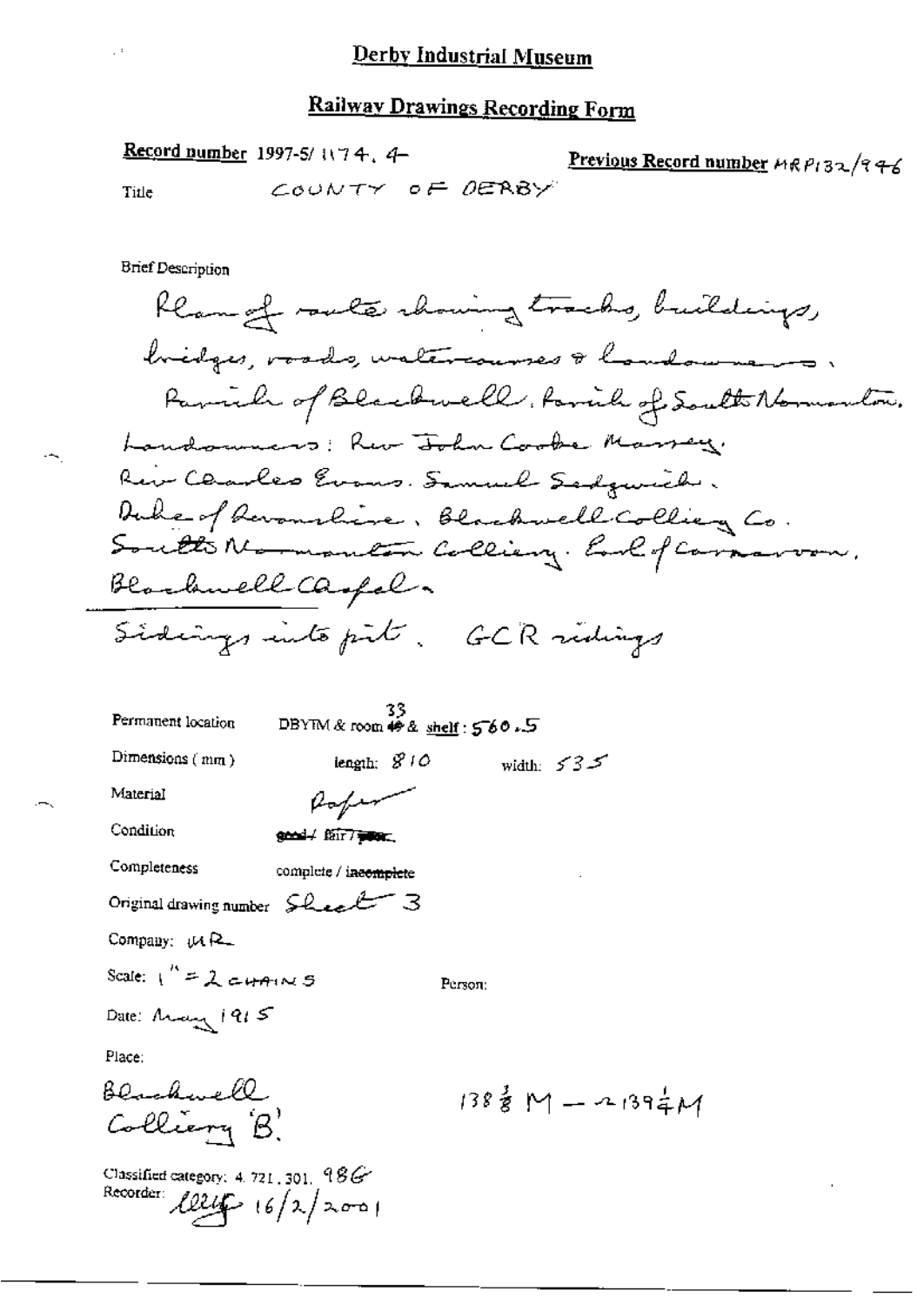## Railway Drawings Recording Form

Record number 1997-5/1174, 4-Previous Record number MRP132/946 COUNTY OF DERBY Title

**Brief Description** 

flam of route chowing tracks, buildings, bridges, roads, watercourses & hondowners. Parich of Blackwell, family of South Normanton. Landsmens: Rur John Cooke Marrey. Rein Claubes Evans. Samuel Sadgunich. Duke of Devanchine, Blackwell Collieg Co.<br>Soutto Normanton Colliery. Earl of Carnavon, Blackwell Caspel. Sidings into pit. GCR ridings

| Permanent location                                                  | 33<br>DBYIM & room # & shelf : 560.5 |         |                                     |
|---------------------------------------------------------------------|--------------------------------------|---------|-------------------------------------|
| Dimensions $(mn)$                                                   | iengīh: $810$                        |         | width: $535$                        |
| Material                                                            | $\mu_{\mathrm{e}/\mu\mathrm{m}'}$    |         |                                     |
| Condition                                                           | good / fair / www.                   |         |                                     |
| Completeness                                                        | complete / incomplete                |         |                                     |
| Original drawing number $SL_{\mathcal{L}}L$                         |                                      |         |                                     |
| Company: UAR                                                        |                                      |         |                                     |
| Scale: $1'' = 2$ cutains                                            |                                      | Регзол: |                                     |
| Date: Arany 1915                                                    |                                      |         |                                     |
| Place:                                                              |                                      |         |                                     |
| <u>Blackwell</u>                                                    |                                      |         | $138\frac{3}{8}M - 139\frac{1}{4}M$ |
| Colliery B.                                                         |                                      |         |                                     |
| Classified category: 4, 721-301, 986<br>Recorder $1824 - 16/2/2001$ |                                      |         |                                     |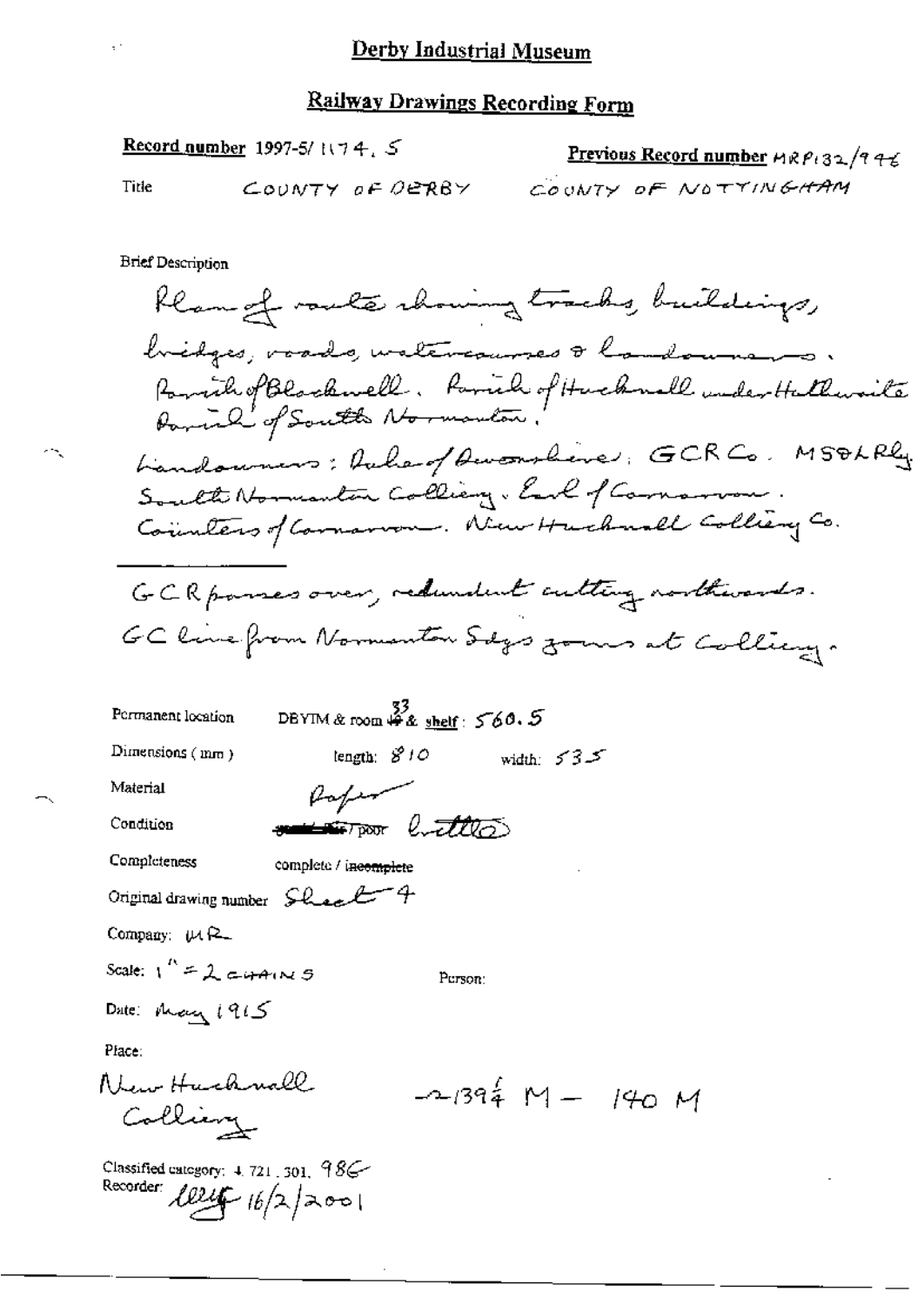#### **Railway Drawings Recording Form**

Record number 1997-5/ $\cup$ 74, S

COUNTY OF OERBY

Previous Record number 
$$
MRP_{132}/74
$$
  
Co<sub>UNTY OF NOTTINGHAM</sub>

**Brief Description** 

Title

Rlangf route chowing tracks, buildings, hidges, voods, watercourses & landowners. Pomich of Blockwell, formich of Huckwell under Hallwaite Landonners: Rahar / Awambere: GCRCo. MSOLRly South Normanton Colliany. Earl of Cornarvon Counters of Common . New Huchard Colliery Co. GCR passes over, redundent cutting northwards. GC line from Normanton Sdgs zones at Colling. DBYIM & room  $\overset{33}{4}$  & shelf:  $560.5$ Permanent location Dimensions  $(mn)$ tength:  $S'$   $10$ width:  $535$ Material Rafer <del>sama Topor</del> luttles Condition Completeness complete / incomplete Original drawing number Sheet 4 Company:  $\mu$  R\_ Scale:  $1^{\prime\prime} = \lambda$  cutains Person: Date: May 1915 Place: New Huckwall  $-1394 M - 140 M$ Colling Classified category:  $4.721$ ,  $301$ ,  $98$ Recorder  $1824 - 16/2$  2001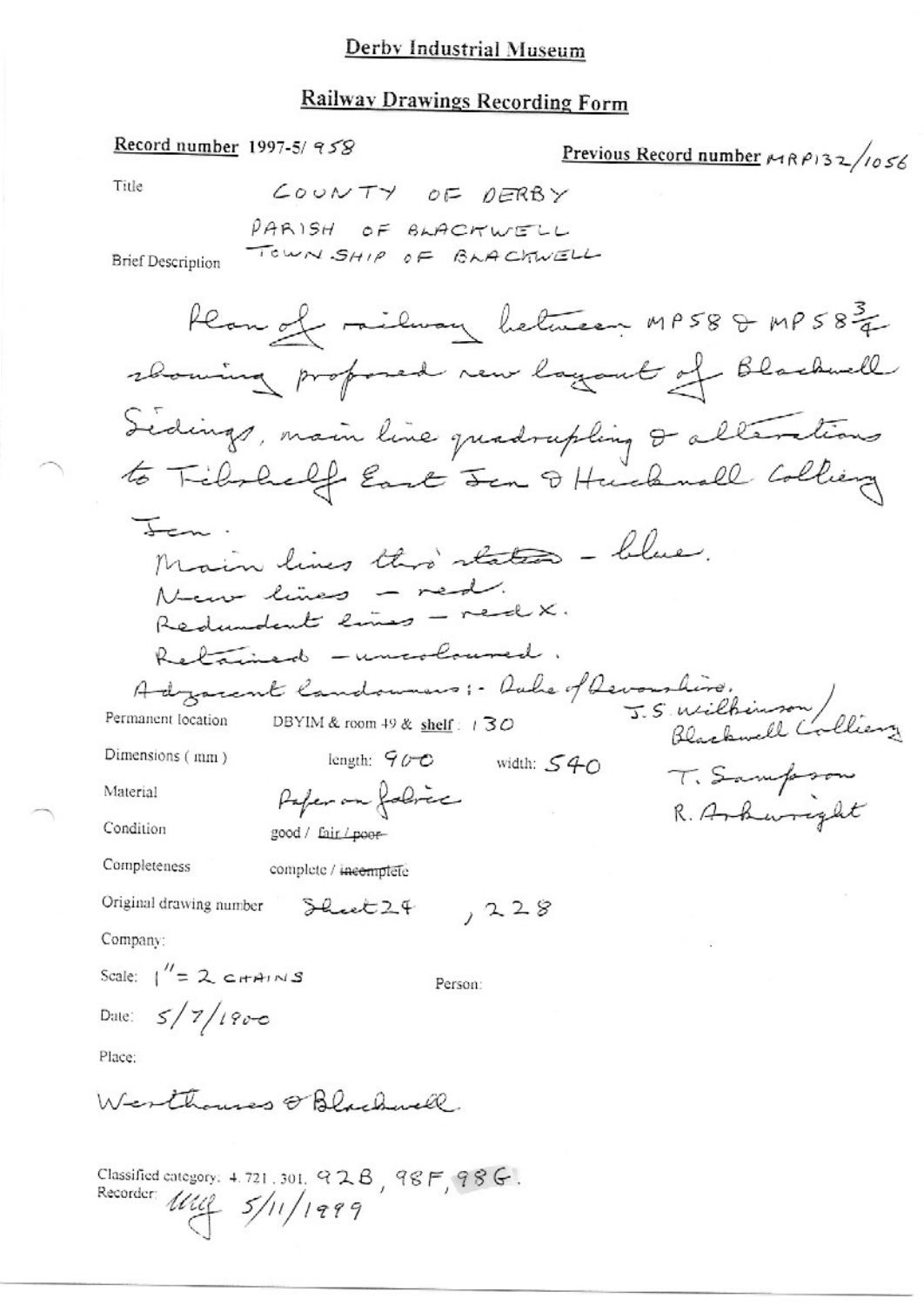#### **Railway Drawings Recording Form**

Record number 1997-5/958 Previous Record number  $MRP132/1056$ Title COUNTY OF DERBY PARISH OF BLACTWELL TOWN SHIP OF BLACKWELL **Brief Description** Han of ridway between MP58 & MP583 closuring profoned new layout of Blackwell Sedings, main line quadrupling & alterations to Tibrhalf East Jen & Hucknall Colliery Jen. Main lines this states - blue. New lines - red. Redundent lines - red X. Retained - uncoloused. Adzament Candonneurs :- Aube of Devous hire.<br>nanon location DBYIM&room +9& shelf: 130 Blackwell Colliery Permanent location length:  $900$  width:  $540$ Dimensions (mm) T. Sampson Paper on folice Material R. Arkwright Condition good / fair / poor-Completeness complete / incomplete Original drawing number  $,228$ Sheet  $24$ Company: Scale:  $1''=2$  catains Person: Date:  $5/7/190 - 6$ Place: Werthouses @ Blackwell Classified category: 4.721.301. 92B, 98F, 98G.

Recorder:  $1112 - 5/11/1999$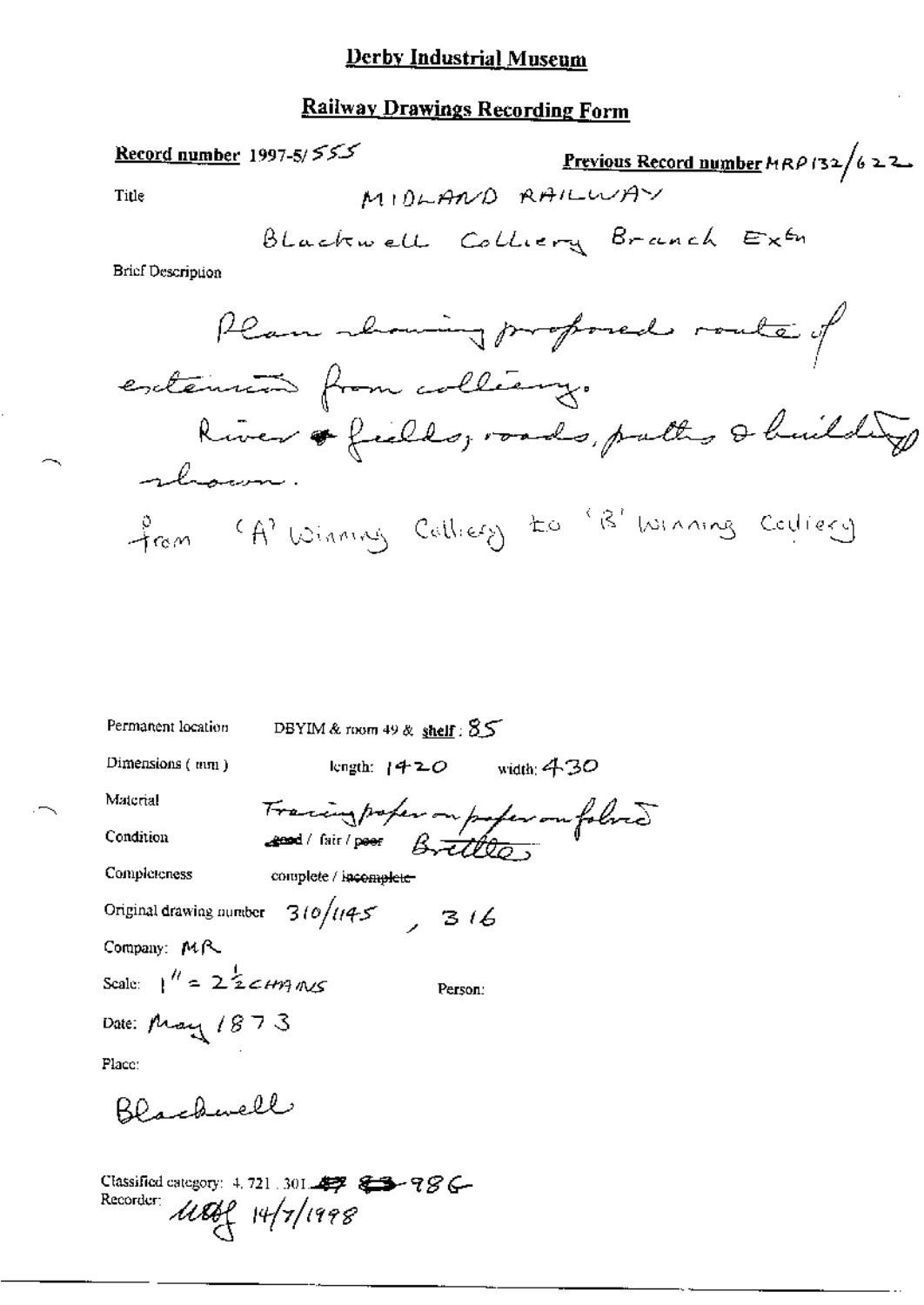#### **Railway Drawings Recording Form**

Record number 1997-5/ $55$ <u>Previous Record number</u>  $MRP$  (32/622) MIDLAND RAILWAY Title BLackwell Colliery Branch Extr **Brief Description** Plan showing proposed route of extension from colleany. River & fields, roads, putty & building rhown. from (A) Winning Calliery to 'B' winning Codicey

Permanent location DBYIM & room 49 & shelf:  $55$ length:  $1420$  width: 430 Dimensions  $(mn)$ Material Tracing profession profession follows Condition Completeness complete / incomplete Original drawing number  $310/1145$ ,  $316$ Company: MR Scale:  $1'' = 222cm$  and Person: Date: May 1873 Place: Blackwell Classified category: 4, 721 .301 47 6 5 6 78 6 Recorder: 11869 14/7/1998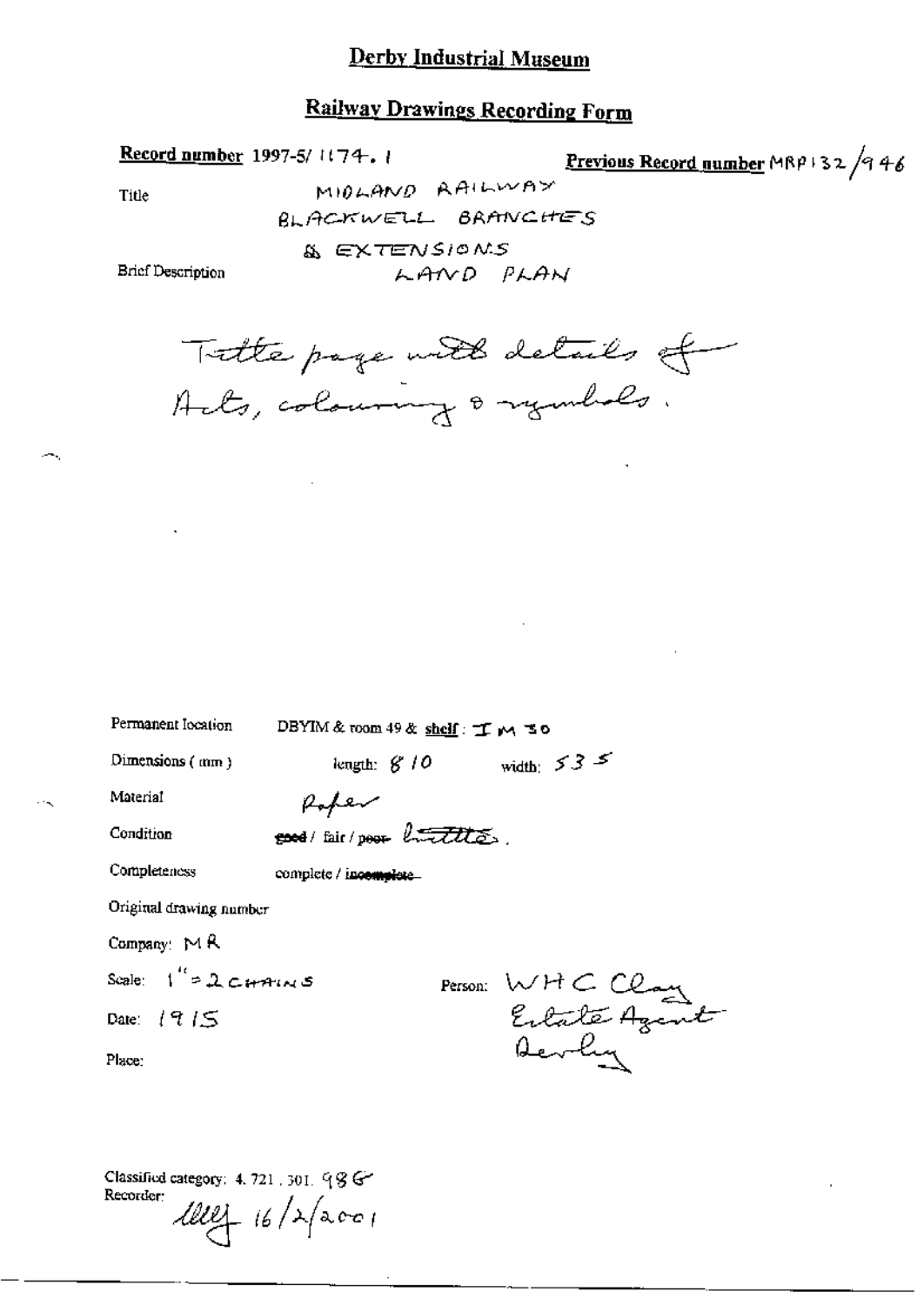#### **Railway Drawings Recording Form**

LAND PLAN

Record number 1997-5/1174.1

Previous Record number MRP 132 /946

Title

MIDLAND RAILWAY BLACKWELL BRANCHES & EXTENSIONS

**Brief Description** 

Tatte page with details of

| Permanent location          | DBYIM&room 49& shelf: 丁 M さ0 |  |                  |
|-----------------------------|------------------------------|--|------------------|
| Dimensions (mm)             | length: $6'10$               |  | width: $53$ $5$  |
| Material                    |                              |  |                  |
| Condition                   | seed/fair/poor buttles.      |  |                  |
| Completeness                | complete / incomplete        |  |                  |
| Original drawing number     |                              |  |                  |
| Company: $M$ R              |                              |  |                  |
| Scale: $1''$ = 2 $C$ + AINS |                              |  |                  |
| Date: $1915$                |                              |  | Person: WHC Clay |
| Place:                      |                              |  |                  |
|                             |                              |  |                  |

Classified category: 4, 721, 301, 98 G Recorder: 1114 16/2/2001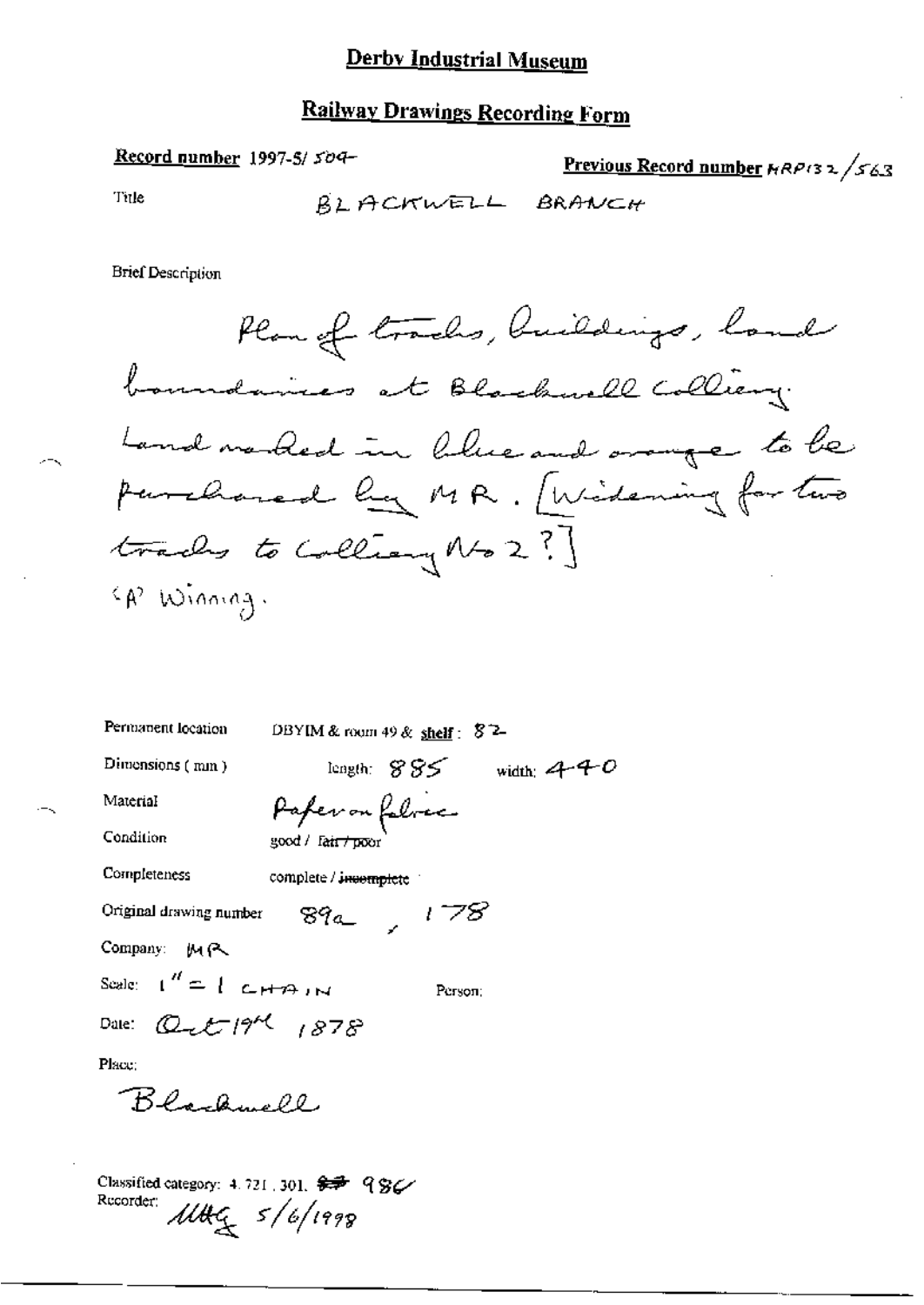## Railway Drawings Recording Form

#### Record number 1997-5/509-

# Previous Record number HRP132/563

Title

-√

╲

**Brief Description** 

| Permanent location                         | DBYIM & room 49 & shelf: $82-$    |
|--------------------------------------------|-----------------------------------|
| Dimensions $(mn)$                          | length: $885$<br>width: $440$     |
| Material                                   | Paper on follower                 |
| Condition                                  | good / fair / poor                |
| Completeness                               | complete / i <del>ncomplete</del> |
| Original drawing number                    | $89a$ , 178                       |
| Company: MR                                |                                   |
| Scale: $1'' = 1$ c+77 in                   | Person:                           |
| Date: $Q_{\text{m}}t^{-1}\frac{9}{4}$ 1878 |                                   |
| Place:                                     |                                   |
| Blackwell                                  |                                   |

Classified category: 4.721.301.  $\overline{\mathscr{F}}$  986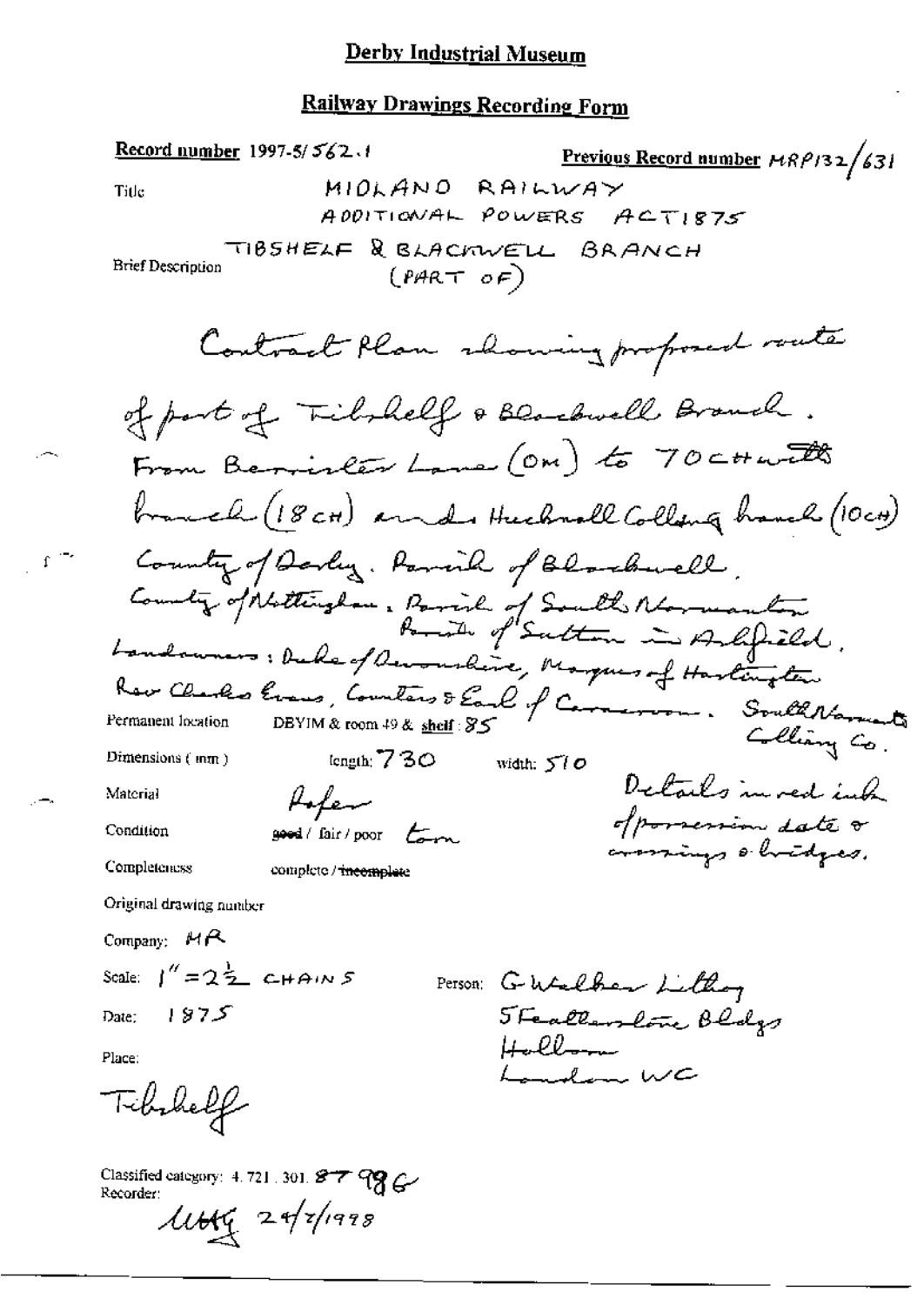#### **Railway Drawings Recording Form**

Record number 1997-5/ $5/2.1$ Previous Record number  $\mu$ RP132/631 MIOLANO RAILWAY Title ADDITIONAL POWERS ACTISTS TIBSHELF & BLACKWELL BRANCH Brief Description  $(PART OF)$ Contract Plan showing proposed route of part of Tichnelf & Blackwell Branch. From Bericles Lane (OM) to 70 ct with branch (18 cm) and Huchrall Collang haveh (10cm) Country of Darley. Ramich of Blackwell. County of Nottingham, Parish of South Mormanton.<br>Bonde of Sutton in Ashfried. Landowners: Duke of Ouronaline, Marques of Hartington Rev Charles Evans, Counters & Earl of Carmeroon. South Narreste Permanent location Collian Co. length  $730$ Dimensions  $($  mm $)$ width:  $500$ Details in red just folen Material of porsession date o Condition  $good / fair / poor$ ammings obvidges. Completeness complete / incomplete Original drawing number Company:  $MR$ Scale:  $1'' = 2\frac{1}{2}$  CHAINS Person: Gutalher Littley Steallandone Bldgs Date:  $1875$  $H_2$ lloom Place: Landon WC Tibihelf

Classified category: 4.721.301. 877 99 G-Recorder:  $\mu$ tty 24/7/1998